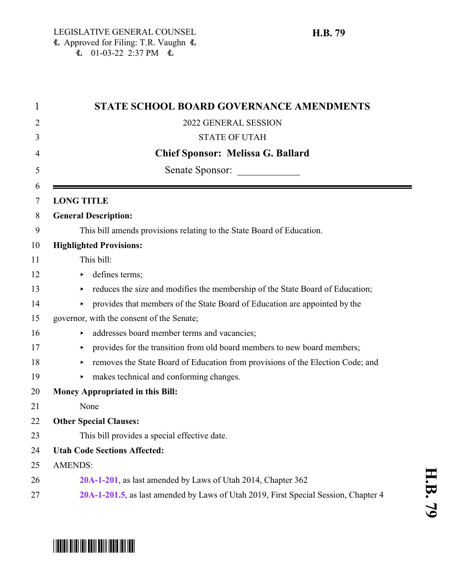| <b>STATE SCHOOL BOARD GOVERNANCE AMENDMENTS</b>                                     |
|-------------------------------------------------------------------------------------|
| 2022 GENERAL SESSION                                                                |
| <b>STATE OF UTAH</b>                                                                |
| <b>Chief Sponsor: Melissa G. Ballard</b>                                            |
| Senate Sponsor:                                                                     |
| <b>LONG TITLE</b>                                                                   |
| <b>General Description:</b>                                                         |
| This bill amends provisions relating to the State Board of Education.               |
| <b>Highlighted Provisions:</b>                                                      |
| This bill:                                                                          |
| defines terms;<br>Þ.                                                                |
| reduces the size and modifies the membership of the State Board of Education;       |
| provides that members of the State Board of Education are appointed by the<br>▶.    |
| governor, with the consent of the Senate;                                           |
| addresses board member terms and vacancies;                                         |
| provides for the transition from old board members to new board members;            |
| removes the State Board of Education from provisions of the Election Code; and<br>٠ |
| makes technical and conforming changes.                                             |
| Money Appropriated in this Bill:                                                    |
| None                                                                                |
| <b>Other Special Clauses:</b>                                                       |
| This bill provides a special effective date.                                        |
| <b>Utah Code Sections Affected:</b>                                                 |
| <b>AMENDS:</b>                                                                      |
| 20A-1-201, as last amended by Laws of Utah 2014, Chapter 362                        |
| 20A-1-201.5, as last amended by Laws of Utah 2019, First Special Session, Chapter 4 |

# \*HB0079\*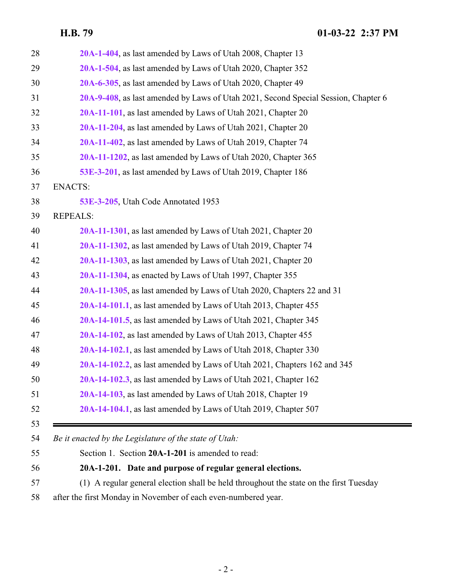| 28       | 20A-1-404, as last amended by Laws of Utah 2008, Chapter 13                            |
|----------|----------------------------------------------------------------------------------------|
| 29       | 20A-1-504, as last amended by Laws of Utah 2020, Chapter 352                           |
| 30       | 20A-6-305, as last amended by Laws of Utah 2020, Chapter 49                            |
| 31       | 20A-9-408, as last amended by Laws of Utah 2021, Second Special Session, Chapter 6     |
| 32       | 20A-11-101, as last amended by Laws of Utah 2021, Chapter 20                           |
| 33       | 20A-11-204, as last amended by Laws of Utah 2021, Chapter 20                           |
| 34       | 20A-11-402, as last amended by Laws of Utah 2019, Chapter 74                           |
| 35       | 20A-11-1202, as last amended by Laws of Utah 2020, Chapter 365                         |
| 36       | 53E-3-201, as last amended by Laws of Utah 2019, Chapter 186                           |
| 37       | <b>ENACTS:</b>                                                                         |
| 38       | 53E-3-205, Utah Code Annotated 1953                                                    |
| 39       | <b>REPEALS:</b>                                                                        |
| 40       | 20A-11-1301, as last amended by Laws of Utah 2021, Chapter 20                          |
| 41       | 20A-11-1302, as last amended by Laws of Utah 2019, Chapter 74                          |
| 42       | 20A-11-1303, as last amended by Laws of Utah 2021, Chapter 20                          |
| 43       | 20A-11-1304, as enacted by Laws of Utah 1997, Chapter 355                              |
| 44       | 20A-11-1305, as last amended by Laws of Utah 2020, Chapters 22 and 31                  |
| 45       | 20A-14-101.1, as last amended by Laws of Utah 2013, Chapter 455                        |
| 46       | 20A-14-101.5, as last amended by Laws of Utah 2021, Chapter 345                        |
| 47       | 20A-14-102, as last amended by Laws of Utah 2013, Chapter 455                          |
| 48       | 20A-14-102.1, as last amended by Laws of Utah 2018, Chapter 330                        |
| 49       | 20A-14-102.2, as last amended by Laws of Utah 2021, Chapters 162 and 345               |
| 50       | 20A-14-102.3, as last amended by Laws of Utah 2021, Chapter 162                        |
| 51       | 20A-14-103, as last amended by Laws of Utah 2018, Chapter 19                           |
| 52       | 20A-14-104.1, as last amended by Laws of Utah 2019, Chapter 507                        |
| 53<br>54 | Be it enacted by the Legislature of the state of Utah:                                 |
| 55       | Section 1. Section 20A-1-201 is amended to read:                                       |
| 56       | 20A-1-201. Date and purpose of regular general elections.                              |
| 57       | (1) A regular general election shall be held throughout the state on the first Tuesday |
|          |                                                                                        |

<span id="page-1-0"></span>after the first Monday in November of each even-numbered year.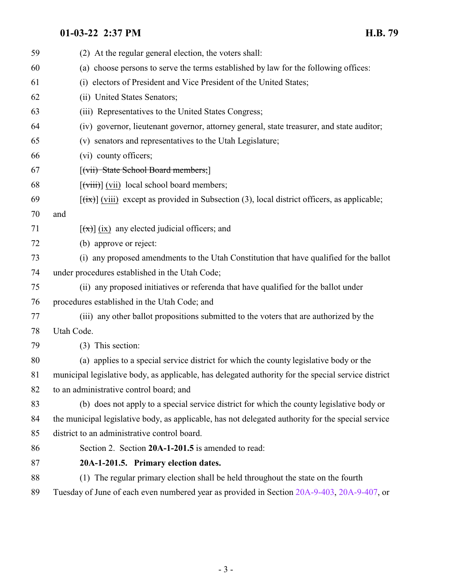<span id="page-2-0"></span>

| 59 | (2) At the regular general election, the voters shall:                                                                                        |
|----|-----------------------------------------------------------------------------------------------------------------------------------------------|
| 60 | (a) choose persons to serve the terms established by law for the following offices:                                                           |
| 61 | (i) electors of President and Vice President of the United States;                                                                            |
| 62 | (ii) United States Senators;                                                                                                                  |
| 63 | (iii) Representatives to the United States Congress;                                                                                          |
| 64 | (iv) governor, lieutenant governor, attorney general, state treasurer, and state auditor;                                                     |
| 65 | (v) senators and representatives to the Utah Legislature;                                                                                     |
| 66 | (vi) county officers;                                                                                                                         |
| 67 | [(vii) State School Board members;]                                                                                                           |
| 68 | $\left[\left(\overrightarrow{viii}\right)\right]$ (vii) local school board members;                                                           |
| 69 | $\left[\frac{f\{i\mathbf{x}\}}{f\{i\mathbf{x}\}}\right]$ (viii) except as provided in Subsection (3), local district officers, as applicable; |
| 70 | and                                                                                                                                           |
| 71 | $\left[\frac{f(x)}{g(x)}\right]$ (ix) any elected judicial officers; and                                                                      |
| 72 | (b) approve or reject:                                                                                                                        |
| 73 | (i) any proposed amendments to the Utah Constitution that have qualified for the ballot                                                       |
| 74 | under procedures established in the Utah Code;                                                                                                |
| 75 | (ii) any proposed initiatives or referenda that have qualified for the ballot under                                                           |
| 76 | procedures established in the Utah Code; and                                                                                                  |
| 77 | (iii) any other ballot propositions submitted to the voters that are authorized by the                                                        |
| 78 | Utah Code.                                                                                                                                    |
| 79 | (3) This section:                                                                                                                             |
| 80 | (a) applies to a special service district for which the county legislative body or the                                                        |
| 81 | municipal legislative body, as applicable, has delegated authority for the special service district                                           |
| 82 | to an administrative control board; and                                                                                                       |
| 83 | (b) does not apply to a special service district for which the county legislative body or                                                     |
| 84 | the municipal legislative body, as applicable, has not delegated authority for the special service                                            |
| 85 | district to an administrative control board.                                                                                                  |
| 86 | Section 2. Section 20A-1-201.5 is amended to read:                                                                                            |
| 87 | 20A-1-201.5. Primary election dates.                                                                                                          |
| 88 | (1) The regular primary election shall be held throughout the state on the fourth                                                             |
| 89 | Tuesday of June of each even numbered year as provided in Section 20A-9-403, 20A-9-407, or                                                    |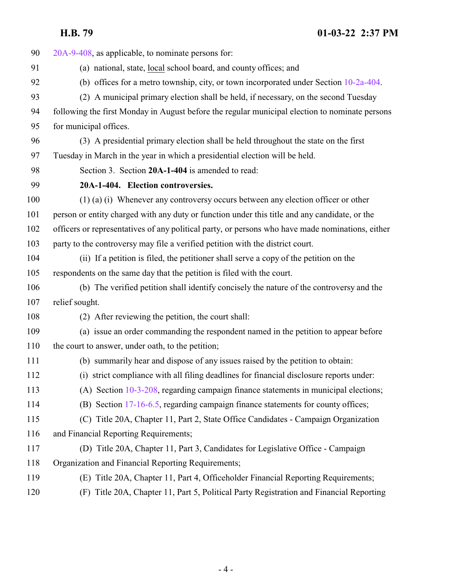<span id="page-3-0"></span>

| 90  | 20A-9-408, as applicable, to nominate persons for:                                               |
|-----|--------------------------------------------------------------------------------------------------|
| 91  | (a) national, state, local school board, and county offices; and                                 |
| 92  | (b) offices for a metro township, city, or town incorporated under Section $10-2a-404$ .         |
| 93  | (2) A municipal primary election shall be held, if necessary, on the second Tuesday              |
| 94  | following the first Monday in August before the regular municipal election to nominate persons   |
| 95  | for municipal offices.                                                                           |
| 96  | (3) A presidential primary election shall be held throughout the state on the first              |
| 97  | Tuesday in March in the year in which a presidential election will be held.                      |
| 98  | Section 3. Section 20A-1-404 is amended to read:                                                 |
| 99  | 20A-1-404. Election controversies.                                                               |
| 100 | $(1)$ (a) (i) Whenever any controversy occurs between any election officer or other              |
| 101 | person or entity charged with any duty or function under this title and any candidate, or the    |
| 102 | officers or representatives of any political party, or persons who have made nominations, either |
| 103 | party to the controversy may file a verified petition with the district court.                   |
| 104 | (ii) If a petition is filed, the petitioner shall serve a copy of the petition on the            |
| 105 | respondents on the same day that the petition is filed with the court.                           |
| 106 | (b) The verified petition shall identify concisely the nature of the controversy and the         |
| 107 | relief sought.                                                                                   |
| 108 | (2) After reviewing the petition, the court shall:                                               |
| 109 | (a) issue an order commanding the respondent named in the petition to appear before              |
| 110 | the court to answer, under oath, to the petition;                                                |
| 111 | (b) summarily hear and dispose of any issues raised by the petition to obtain:                   |
| 112 | (i) strict compliance with all filing deadlines for financial disclosure reports under:          |
| 113 | (A) Section 10-3-208, regarding campaign finance statements in municipal elections;              |
| 114 | (B) Section 17-16-6.5, regarding campaign finance statements for county offices;                 |
| 115 | (C) Title 20A, Chapter 11, Part 2, State Office Candidates - Campaign Organization               |
| 116 | and Financial Reporting Requirements;                                                            |
| 117 | (D) Title 20A, Chapter 11, Part 3, Candidates for Legislative Office - Campaign                  |
| 118 | Organization and Financial Reporting Requirements;                                               |
| 119 | Title 20A, Chapter 11, Part 4, Officeholder Financial Reporting Requirements;<br>(E)             |
| 120 | Title 20A, Chapter 11, Part 5, Political Party Registration and Financial Reporting<br>(F)       |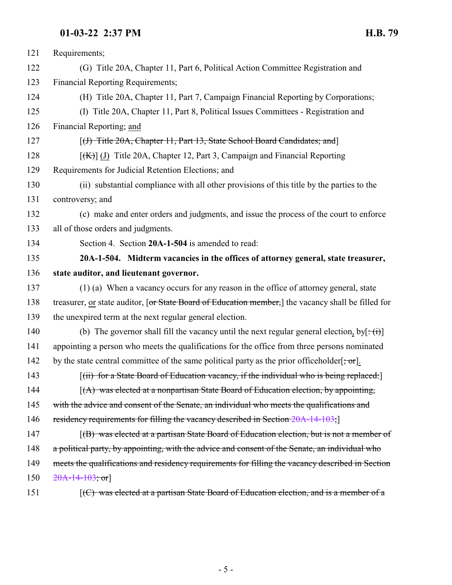<span id="page-4-0"></span>

| 121 | Requirements;                                                                                                                  |
|-----|--------------------------------------------------------------------------------------------------------------------------------|
| 122 | (G) Title 20A, Chapter 11, Part 6, Political Action Committee Registration and                                                 |
| 123 | <b>Financial Reporting Requirements;</b>                                                                                       |
| 124 | (H) Title 20A, Chapter 11, Part 7, Campaign Financial Reporting by Corporations;                                               |
| 125 | (I) Title 20A, Chapter 11, Part 8, Political Issues Committees - Registration and                                              |
| 126 | Financial Reporting; and                                                                                                       |
| 127 | [(J) Title 20A, Chapter 11, Part 13, State School Board Candidates; and]                                                       |
| 128 | $[(K)]$ (J) Title 20A, Chapter 12, Part 3, Campaign and Financial Reporting                                                    |
| 129 | Requirements for Judicial Retention Elections; and                                                                             |
| 130 | (ii) substantial compliance with all other provisions of this title by the parties to the                                      |
| 131 | controversy; and                                                                                                               |
| 132 | (c) make and enter orders and judgments, and issue the process of the court to enforce                                         |
| 133 | all of those orders and judgments.                                                                                             |
| 134 | Section 4. Section 20A-1-504 is amended to read:                                                                               |
| 135 | 20A-1-504. Midterm vacancies in the offices of attorney general, state treasurer,                                              |
| 136 | state auditor, and lieutenant governor.                                                                                        |
| 137 | (1) (a) When a vacancy occurs for any reason in the office of attorney general, state                                          |
| 138 | treasurer, or state auditor, [or State Board of Education member,] the vacancy shall be filled for                             |
| 139 | the unexpired term at the next regular general election.                                                                       |
| 140 | (b) The governor shall fill the vacancy until the next regular general election, by $\left[\frac{1}{1}\right]$                 |
| 141 | appointing a person who meets the qualifications for the office from three persons nominated                                   |
| 142 | by the state central committee of the same political party as the prior officeholder $\left[\frac{1}{2}, \frac{1}{2}\right]$ . |
| 143 | [(ii) for a State Board of Education vacancy, if the individual who is being replaced:]                                        |
| 144 | $(A)$ was elected at a nonpartisan State Board of Education election, by appointing,                                           |
| 145 | with the advice and consent of the Senate, an individual who meets the qualifications and                                      |
| 146 | residency requirements for filling the vacancy described in Section 20A-14-103;                                                |
| 147 | [(B) was elected at a partisan State Board of Education election, but is not a member of                                       |
| 148 | a political party, by appointing, with the advice and consent of the Senate, an individual who                                 |
| 149 | meets the qualifications and residency requirements for filling the vacancy described in Section                               |
| 150 | $20A-14-103$ ; or                                                                                                              |
| 151 | $[$ (C) was elected at a partisan State Board of Education election, and is a member of a                                      |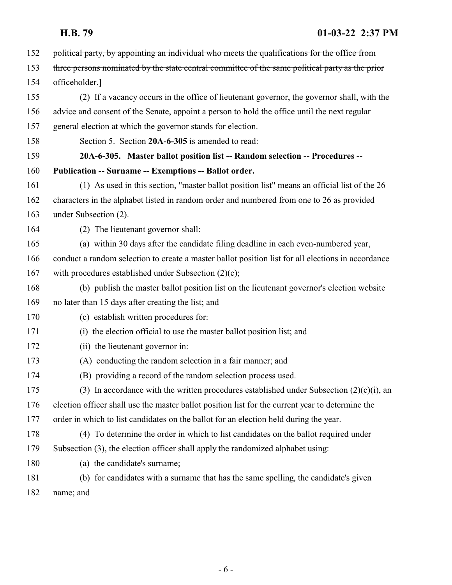<span id="page-5-0"></span>

| 152 | political party, by appointing an individual who meets the qualifications for the office from      |
|-----|----------------------------------------------------------------------------------------------------|
| 153 | three persons nominated by the state central committee of the same political party as the prior    |
| 154 | officeholder.]                                                                                     |
| 155 | (2) If a vacancy occurs in the office of lieutenant governor, the governor shall, with the         |
| 156 | advice and consent of the Senate, appoint a person to hold the office until the next regular       |
| 157 | general election at which the governor stands for election.                                        |
| 158 | Section 5. Section 20A-6-305 is amended to read:                                                   |
| 159 | 20A-6-305. Master ballot position list -- Random selection -- Procedures --                        |
| 160 | Publication -- Surname -- Exemptions -- Ballot order.                                              |
| 161 | (1) As used in this section, "master ballot position list" means an official list of the 26        |
| 162 | characters in the alphabet listed in random order and numbered from one to 26 as provided          |
| 163 | under Subsection (2).                                                                              |
| 164 | (2) The lieutenant governor shall:                                                                 |
| 165 | (a) within 30 days after the candidate filing deadline in each even-numbered year,                 |
| 166 | conduct a random selection to create a master ballot position list for all elections in accordance |
| 167 | with procedures established under Subsection $(2)(c)$ ;                                            |
| 168 | (b) publish the master ballot position list on the lieutenant governor's election website          |
| 169 | no later than 15 days after creating the list; and                                                 |
| 170 | (c) establish written procedures for:                                                              |
| 171 | (i) the election official to use the master ballot position list; and                              |
| 172 | (ii) the lieutenant governor in:                                                                   |
| 173 | (A) conducting the random selection in a fair manner; and                                          |
| 174 | (B) providing a record of the random selection process used.                                       |
| 175 | (3) In accordance with the written procedures established under Subsection $(2)(c)(i)$ , an        |
| 176 | election officer shall use the master ballot position list for the current year to determine the   |
| 177 | order in which to list candidates on the ballot for an election held during the year.              |
| 178 | (4) To determine the order in which to list candidates on the ballot required under                |
| 179 | Subsection (3), the election officer shall apply the randomized alphabet using:                    |
| 180 | (a) the candidate's surname;                                                                       |
| 181 | (b) for candidates with a surname that has the same spelling, the candidate's given                |
| 182 | name; and                                                                                          |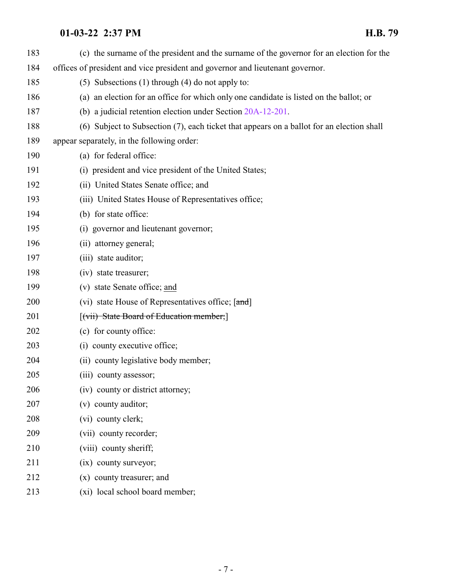| 183 | (c) the surname of the president and the surname of the governor for an election for the  |
|-----|-------------------------------------------------------------------------------------------|
| 184 | offices of president and vice president and governor and lieutenant governor.             |
| 185 | (5) Subsections (1) through (4) do not apply to:                                          |
| 186 | (a) an election for an office for which only one candidate is listed on the ballot; or    |
| 187 | (b) a judicial retention election under Section 20A-12-201.                               |
| 188 | (6) Subject to Subsection (7), each ticket that appears on a ballot for an election shall |
| 189 | appear separately, in the following order:                                                |
| 190 | (a) for federal office:                                                                   |
| 191 | (i) president and vice president of the United States;                                    |
| 192 | (ii) United States Senate office; and                                                     |
| 193 | (iii) United States House of Representatives office;                                      |
| 194 | (b) for state office:                                                                     |
| 195 | (i) governor and lieutenant governor;                                                     |
| 196 | (ii) attorney general;                                                                    |
| 197 | (iii) state auditor;                                                                      |
| 198 | (iv) state treasurer;                                                                     |
| 199 | (v) state Senate office; and                                                              |
| 200 | (vi) state House of Representatives office; [and]                                         |
| 201 | [(vii) State Board of Education member;]                                                  |
| 202 | (c) for county office:                                                                    |
| 203 | (i) county executive office;                                                              |
| 204 | (ii) county legislative body member;                                                      |
| 205 | (iii) county assessor;                                                                    |
| 206 | (iv) county or district attorney;                                                         |
| 207 | (v) county auditor;                                                                       |
| 208 | (vi) county clerk;                                                                        |
| 209 | (vii) county recorder;                                                                    |
| 210 | (viii) county sheriff;                                                                    |
| 211 | (ix) county surveyor;                                                                     |
| 212 | (x) county treasurer; and                                                                 |
| 213 | (xi) local school board member;                                                           |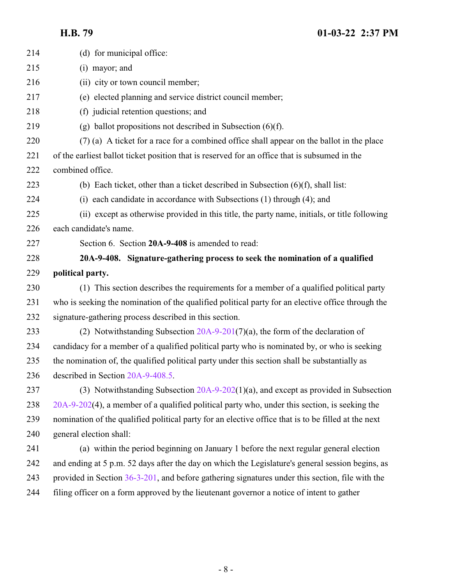<span id="page-7-0"></span>

| 214 | (d) for municipal office:                                                                           |
|-----|-----------------------------------------------------------------------------------------------------|
| 215 | (i) mayor; and                                                                                      |
| 216 | (ii) city or town council member;                                                                   |
| 217 | (e) elected planning and service district council member;                                           |
| 218 | (f) judicial retention questions; and                                                               |
| 219 | (g) ballot propositions not described in Subsection $(6)(f)$ .                                      |
| 220 | (7) (a) A ticket for a race for a combined office shall appear on the ballot in the place           |
| 221 | of the earliest ballot ticket position that is reserved for an office that is subsumed in the       |
| 222 | combined office.                                                                                    |
| 223 | (b) Each ticket, other than a ticket described in Subsection $(6)(f)$ , shall list:                 |
| 224 | (i) each candidate in accordance with Subsections (1) through (4); and                              |
| 225 | (ii) except as otherwise provided in this title, the party name, initials, or title following       |
| 226 | each candidate's name.                                                                              |
| 227 | Section 6. Section 20A-9-408 is amended to read:                                                    |
| 228 | 20A-9-408. Signature-gathering process to seek the nomination of a qualified                        |
| 229 | political party.                                                                                    |
| 230 | (1) This section describes the requirements for a member of a qualified political party             |
| 231 | who is seeking the nomination of the qualified political party for an elective office through the   |
| 232 | signature-gathering process described in this section.                                              |
| 233 | (2) Notwithstanding Subsection $20A-9-201(7)(a)$ , the form of the declaration of                   |
| 234 | candidacy for a member of a qualified political party who is nominated by, or who is seeking        |
| 235 | the nomination of, the qualified political party under this section shall be substantially as       |
| 236 | described in Section 20A-9-408.5.                                                                   |
| 237 | (3) Notwithstanding Subsection $20A-9-202(1)(a)$ , and except as provided in Subsection             |
| 238 | $20A-9-202(4)$ , a member of a qualified political party who, under this section, is seeking the    |
| 239 | nomination of the qualified political party for an elective office that is to be filled at the next |
| 240 | general election shall:                                                                             |
| 241 | (a) within the period beginning on January 1 before the next regular general election               |
| 242 | and ending at 5 p.m. 52 days after the day on which the Legislature's general session begins, as    |
| 243 | provided in Section $36-3-201$ , and before gathering signatures under this section, file with the  |
| 244 | filing officer on a form approved by the lieutenant governor a notice of intent to gather           |
|     |                                                                                                     |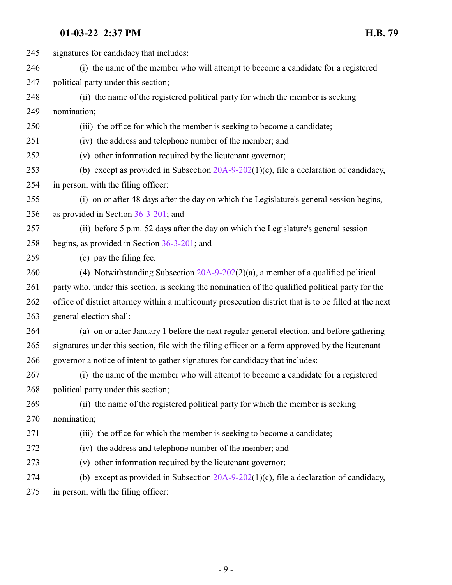| 245 | signatures for candidacy that includes:                                                                |
|-----|--------------------------------------------------------------------------------------------------------|
| 246 | (i) the name of the member who will attempt to become a candidate for a registered                     |
| 247 | political party under this section;                                                                    |
| 248 | (ii) the name of the registered political party for which the member is seeking                        |
| 249 | nomination;                                                                                            |
| 250 | (iii) the office for which the member is seeking to become a candidate;                                |
| 251 | (iv) the address and telephone number of the member; and                                               |
| 252 | (v) other information required by the lieutenant governor;                                             |
| 253 | (b) except as provided in Subsection $20A-9-202(1)(c)$ , file a declaration of candidacy,              |
| 254 | in person, with the filing officer:                                                                    |
| 255 | (i) on or after 48 days after the day on which the Legislature's general session begins,               |
| 256 | as provided in Section $36-3-201$ ; and                                                                |
| 257 | (ii) before 5 p.m. 52 days after the day on which the Legislature's general session                    |
| 258 | begins, as provided in Section $36-3-201$ ; and                                                        |
| 259 | (c) pay the filing fee.                                                                                |
| 260 | (4) Notwithstanding Subsection $20A-9-202(2)(a)$ , a member of a qualified political                   |
| 261 | party who, under this section, is seeking the nomination of the qualified political party for the      |
| 262 | office of district attorney within a multicounty prosecution district that is to be filled at the next |
| 263 | general election shall:                                                                                |
| 264 | (a) on or after January 1 before the next regular general election, and before gathering               |
| 265 | signatures under this section, file with the filing officer on a form approved by the lieutenant       |
| 266 | governor a notice of intent to gather signatures for candidacy that includes:                          |
| 267 | (i) the name of the member who will attempt to become a candidate for a registered                     |
| 268 | political party under this section;                                                                    |
| 269 | (ii) the name of the registered political party for which the member is seeking                        |
| 270 | nomination;                                                                                            |
| 271 | (iii) the office for which the member is seeking to become a candidate;                                |
| 272 | (iv) the address and telephone number of the member; and                                               |
| 273 | (v) other information required by the lieutenant governor;                                             |
| 274 | (b) except as provided in Subsection $20A-9-202(1)(c)$ , file a declaration of candidacy,              |
| 275 | in person, with the filing officer:                                                                    |
|     |                                                                                                        |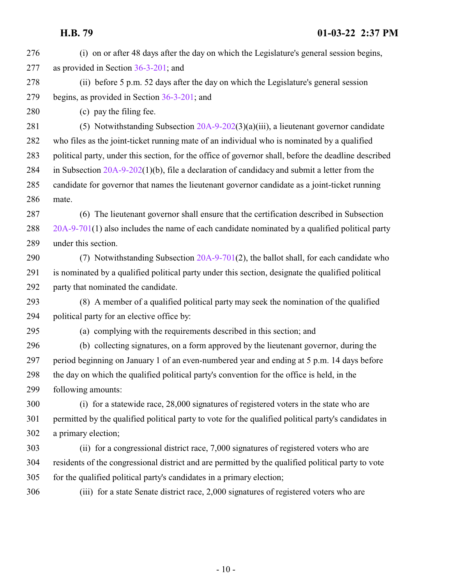(i) on or after 48 days after the day on which the Legislature's general session begins, as provided in Section [36-3-201](http://le.utah.gov/UtahCode/SectionLookup.jsp?section=36-3-201&session=2022GS); and

 (ii) before 5 p.m. 52 days after the day on which the Legislature's general session begins, as provided in Section [36-3-201](http://le.utah.gov/UtahCode/SectionLookup.jsp?section=36-3-201&session=2022GS); and

(c) pay the filing fee.

 (5) Notwithstanding Subsection [20A-9-202](http://le.utah.gov/UtahCode/SectionLookup.jsp?section=20a-9-202&session=2022GS)(3)(a)(iii), a lieutenant governor candidate who files as the joint-ticket running mate of an individual who is nominated by a qualified political party, under this section, for the office of governor shall, before the deadline described in Subsection [20A-9-202](http://le.utah.gov/UtahCode/SectionLookup.jsp?section=20a-9-202&session=2022GS)(1)(b), file a declaration of candidacy and submit a letter from the candidate for governor that names the lieutenant governor candidate as a joint-ticket running mate.

 (6) The lieutenant governor shall ensure that the certification described in Subsection [20A-9-701](http://le.utah.gov/UtahCode/SectionLookup.jsp?section=20a-9-701&session=2022GS)(1) also includes the name of each candidate nominated by a qualified political party under this section.

 (7) Notwithstanding Subsection [20A-9-701](http://le.utah.gov/UtahCode/SectionLookup.jsp?section=20a-9-701&session=2022GS)(2), the ballot shall, for each candidate who is nominated by a qualified political party under this section, designate the qualified political party that nominated the candidate.

 (8) A member of a qualified political party may seek the nomination of the qualified political party for an elective office by:

(a) complying with the requirements described in this section; and

 (b) collecting signatures, on a form approved by the lieutenant governor, during the period beginning on January 1 of an even-numbered year and ending at 5 p.m. 14 days before the day on which the qualified political party's convention for the office is held, in the following amounts:

 (i) for a statewide race, 28,000 signatures of registered voters in the state who are permitted by the qualified political party to vote for the qualified political party's candidates in a primary election;

 (ii) for a congressional district race, 7,000 signatures of registered voters who are residents of the congressional district and are permitted by the qualified political party to vote for the qualified political party's candidates in a primary election;

(iii) for a state Senate district race, 2,000 signatures of registered voters who are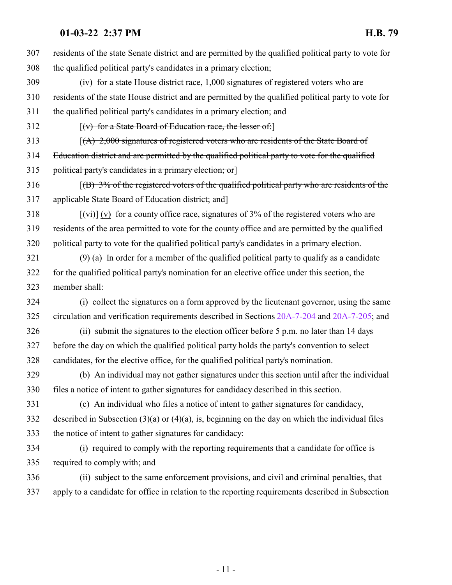residents of the state Senate district and are permitted by the qualified political party to vote for the qualified political party's candidates in a primary election; (iv) for a state House district race, 1,000 signatures of registered voters who are residents of the state House district and are permitted by the qualified political party to vote for the qualified political party's candidates in a primary election; and [(v) for a State Board of Education race, the lesser of:] 313 [(A) 2,000 signatures of registered voters who are residents of the State Board of Education district and are permitted by the qualified political party to vote for the qualified 315 political party's candidates in a primary election; or [(B)  $3\%$  of the registered voters of the qualified political party who are residents of the applicable State Board of Education district; and]  $[(\overrightarrow{vi})]$  (v) for a county office race, signatures of 3% of the registered voters who are residents of the area permitted to vote for the county office and are permitted by the qualified political party to vote for the qualified political party's candidates in a primary election. (9) (a) In order for a member of the qualified political party to qualify as a candidate for the qualified political party's nomination for an elective office under this section, the member shall: (i) collect the signatures on a form approved by the lieutenant governor, using the same circulation and verification requirements described in Sections [20A-7-204](http://le.utah.gov/UtahCode/SectionLookup.jsp?section=20a-7-204&session=2022GS) and [20A-7-205](http://le.utah.gov/UtahCode/SectionLookup.jsp?section=20a-7-205&session=2022GS); and (ii) submit the signatures to the election officer before 5 p.m. no later than 14 days before the day on which the qualified political party holds the party's convention to select candidates, for the elective office, for the qualified political party's nomination. (b) An individual may not gather signatures under this section until after the individual files a notice of intent to gather signatures for candidacy described in this section. (c) An individual who files a notice of intent to gather signatures for candidacy, described in Subsection (3)(a) or (4)(a), is, beginning on the day on which the individual files the notice of intent to gather signatures for candidacy: (i) required to comply with the reporting requirements that a candidate for office is required to comply with; and (ii) subject to the same enforcement provisions, and civil and criminal penalties, that apply to a candidate for office in relation to the reporting requirements described in Subsection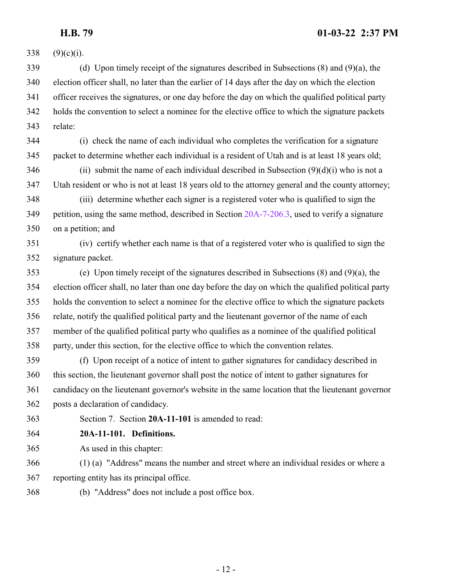$(9)(c)(i)$ . (d) Upon timely receipt of the signatures described in Subsections (8) and (9)(a), the election officer shall, no later than the earlier of 14 days after the day on which the election officer receives the signatures, or one day before the day on which the qualified political party holds the convention to select a nominee for the elective office to which the signature packets relate: (i) check the name of each individual who completes the verification for a signature packet to determine whether each individual is a resident of Utah and is at least 18 years old; (ii) submit the name of each individual described in Subsection  $(9)(d)(i)$  who is not a Utah resident or who is not at least 18 years old to the attorney general and the county attorney; (iii) determine whether each signer is a registered voter who is qualified to sign the petition, using the same method, described in Section [20A-7-206.3](http://le.utah.gov/UtahCode/SectionLookup.jsp?section=20a-7-206.3&session=2022GS), used to verify a signature on a petition; and (iv) certify whether each name is that of a registered voter who is qualified to sign the signature packet. (e) Upon timely receipt of the signatures described in Subsections (8) and (9)(a), the election officer shall, no later than one day before the day on which the qualified political party holds the convention to select a nominee for the elective office to which the signature packets

 relate, notify the qualified political party and the lieutenant governor of the name of each member of the qualified political party who qualifies as a nominee of the qualified political party, under this section, for the elective office to which the convention relates.

 (f) Upon receipt of a notice of intent to gather signatures for candidacy described in this section, the lieutenant governor shall post the notice of intent to gather signatures for candidacy on the lieutenant governor's website in the same location that the lieutenant governor posts a declaration of candidacy.

<span id="page-11-0"></span>Section 7. Section **20A-11-101** is amended to read:

**20A-11-101. Definitions.**

As used in this chapter:

 (1) (a) "Address" means the number and street where an individual resides or where a reporting entity has its principal office.

(b) "Address" does not include a post office box.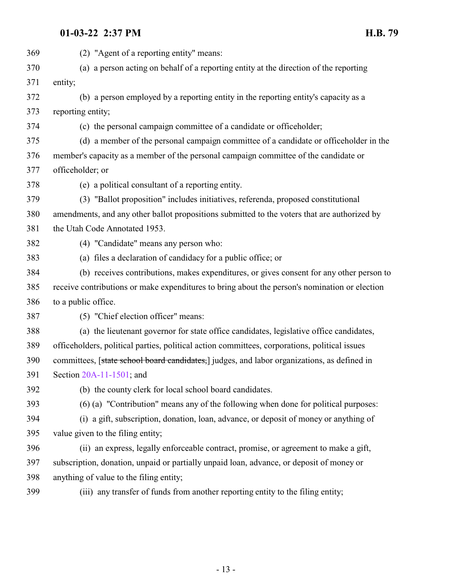| 369 | (2) "Agent of a reporting entity" means:                                                      |
|-----|-----------------------------------------------------------------------------------------------|
| 370 | (a) a person acting on behalf of a reporting entity at the direction of the reporting         |
| 371 | entity;                                                                                       |
| 372 | (b) a person employed by a reporting entity in the reporting entity's capacity as a           |
| 373 | reporting entity;                                                                             |
| 374 | (c) the personal campaign committee of a candidate or officeholder;                           |
| 375 | (d) a member of the personal campaign committee of a candidate or officeholder in the         |
| 376 | member's capacity as a member of the personal campaign committee of the candidate or          |
| 377 | officeholder; or                                                                              |
| 378 | (e) a political consultant of a reporting entity.                                             |
| 379 | (3) "Ballot proposition" includes initiatives, referenda, proposed constitutional             |
| 380 | amendments, and any other ballot propositions submitted to the voters that are authorized by  |
| 381 | the Utah Code Annotated 1953.                                                                 |
| 382 | (4) "Candidate" means any person who:                                                         |
| 383 | (a) files a declaration of candidacy for a public office; or                                  |
| 384 | (b) receives contributions, makes expenditures, or gives consent for any other person to      |
| 385 | receive contributions or make expenditures to bring about the person's nomination or election |
| 386 | to a public office.                                                                           |
| 387 | (5) "Chief election officer" means:                                                           |
| 388 | (a) the lieutenant governor for state office candidates, legislative office candidates,       |
| 389 | officeholders, political parties, political action committees, corporations, political issues |
| 390 | committees, [state school board candidates,] judges, and labor organizations, as defined in   |
| 391 | Section 20A-11-1501; and                                                                      |
| 392 | (b) the county clerk for local school board candidates.                                       |
| 393 | (6) (a) "Contribution" means any of the following when done for political purposes:           |
| 394 | (i) a gift, subscription, donation, loan, advance, or deposit of money or anything of         |
| 395 | value given to the filing entity;                                                             |
| 396 | (ii) an express, legally enforceable contract, promise, or agreement to make a gift,          |
| 397 | subscription, donation, unpaid or partially unpaid loan, advance, or deposit of money or      |
| 398 | anything of value to the filing entity;                                                       |
|     |                                                                                               |

(iii) any transfer of funds from another reporting entity to the filing entity;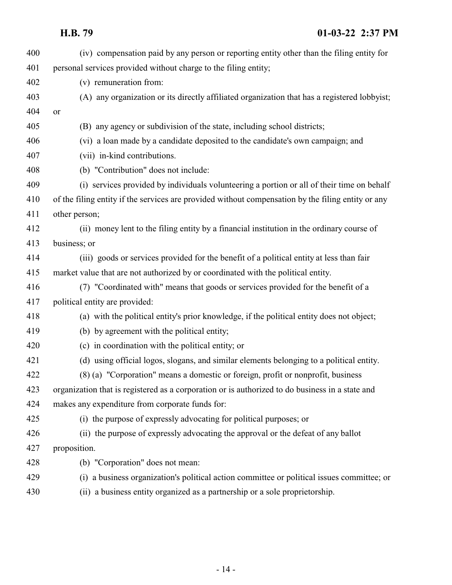| 400 | (iv) compensation paid by any person or reporting entity other than the filing entity for          |
|-----|----------------------------------------------------------------------------------------------------|
| 401 | personal services provided without charge to the filing entity;                                    |
| 402 | (v) remuneration from:                                                                             |
| 403 | (A) any organization or its directly affiliated organization that has a registered lobbyist;       |
| 404 | or                                                                                                 |
| 405 | (B) any agency or subdivision of the state, including school districts;                            |
| 406 | (vi) a loan made by a candidate deposited to the candidate's own campaign; and                     |
| 407 | (vii) in-kind contributions.                                                                       |
| 408 | (b) "Contribution" does not include:                                                               |
| 409 | (i) services provided by individuals volunteering a portion or all of their time on behalf         |
| 410 | of the filing entity if the services are provided without compensation by the filing entity or any |
| 411 | other person;                                                                                      |
| 412 | (ii) money lent to the filing entity by a financial institution in the ordinary course of          |
| 413 | business; or                                                                                       |
| 414 | (iii) goods or services provided for the benefit of a political entity at less than fair           |
| 415 | market value that are not authorized by or coordinated with the political entity.                  |
| 416 | (7) "Coordinated with" means that goods or services provided for the benefit of a                  |
| 417 | political entity are provided:                                                                     |
| 418 | (a) with the political entity's prior knowledge, if the political entity does not object;          |
| 419 | (b) by agreement with the political entity;                                                        |
| 420 | (c) in coordination with the political entity; or                                                  |
| 421 | (d) using official logos, slogans, and similar elements belonging to a political entity.           |
| 422 | (8) (a) "Corporation" means a domestic or foreign, profit or nonprofit, business                   |
| 423 | organization that is registered as a corporation or is authorized to do business in a state and    |
| 424 | makes any expenditure from corporate funds for:                                                    |
| 425 | (i) the purpose of expressly advocating for political purposes; or                                 |
| 426 | (ii) the purpose of expressly advocating the approval or the defeat of any ballot                  |
| 427 | proposition.                                                                                       |
| 428 | (b) "Corporation" does not mean:                                                                   |
| 429 | (i) a business organization's political action committee or political issues committee; or         |
| 430 | (ii) a business entity organized as a partnership or a sole proprietorship.                        |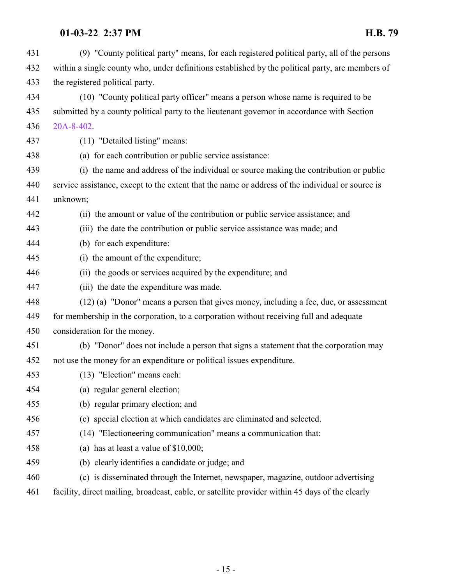(9) "County political party" means, for each registered political party, all of the persons within a single county who, under definitions established by the political party, are members of the registered political party. (10) "County political party officer" means a person whose name is required to be submitted by a county political party to the lieutenant governor in accordance with Section [20A-8-402](http://le.utah.gov/UtahCode/SectionLookup.jsp?section=20a-8-402&session=2022GS). (11) "Detailed listing" means: (a) for each contribution or public service assistance: (i) the name and address of the individual or source making the contribution or public service assistance, except to the extent that the name or address of the individual or source is unknown; (ii) the amount or value of the contribution or public service assistance; and (iii) the date the contribution or public service assistance was made; and (b) for each expenditure: (i) the amount of the expenditure; (ii) the goods or services acquired by the expenditure; and (iii) the date the expenditure was made. (12) (a) "Donor" means a person that gives money, including a fee, due, or assessment for membership in the corporation, to a corporation without receiving full and adequate consideration for the money. (b) "Donor" does not include a person that signs a statement that the corporation may not use the money for an expenditure or political issues expenditure. (13) "Election" means each: (a) regular general election; (b) regular primary election; and (c) special election at which candidates are eliminated and selected. (14) "Electioneering communication" means a communication that: (a) has at least a value of \$10,000; (b) clearly identifies a candidate or judge; and (c) is disseminated through the Internet, newspaper, magazine, outdoor advertising facility, direct mailing, broadcast, cable, or satellite provider within 45 days of the clearly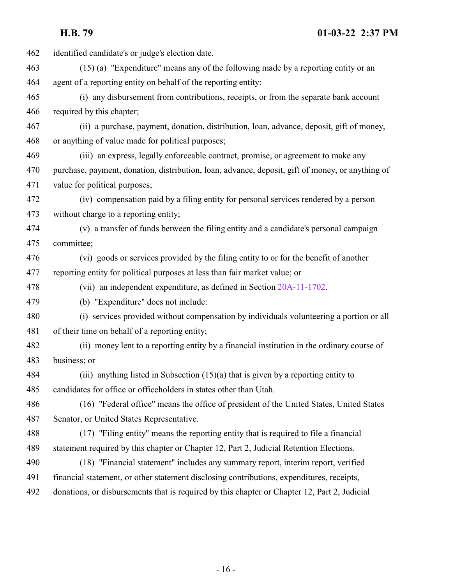identified candidate's or judge's election date. (15) (a) "Expenditure" means any of the following made by a reporting entity or an agent of a reporting entity on behalf of the reporting entity: (i) any disbursement from contributions, receipts, or from the separate bank account required by this chapter; (ii) a purchase, payment, donation, distribution, loan, advance, deposit, gift of money, or anything of value made for political purposes; (iii) an express, legally enforceable contract, promise, or agreement to make any purchase, payment, donation, distribution, loan, advance, deposit, gift of money, or anything of value for political purposes; (iv) compensation paid by a filing entity for personal services rendered by a person without charge to a reporting entity; (v) a transfer of funds between the filing entity and a candidate's personal campaign committee; (vi) goods or services provided by the filing entity to or for the benefit of another reporting entity for political purposes at less than fair market value; or (vii) an independent expenditure, as defined in Section [20A-11-1702](http://le.utah.gov/UtahCode/SectionLookup.jsp?section=20a-11-1702&session=2022GS). (b) "Expenditure" does not include: (i) services provided without compensation by individuals volunteering a portion or all of their time on behalf of a reporting entity; (ii) money lent to a reporting entity by a financial institution in the ordinary course of business; or (iii) anything listed in Subsection (15)(a) that is given by a reporting entity to candidates for office or officeholders in states other than Utah. (16) "Federal office" means the office of president of the United States, United States Senator, or United States Representative. (17) "Filing entity" means the reporting entity that is required to file a financial statement required by this chapter or Chapter 12, Part 2, Judicial Retention Elections. (18) "Financial statement" includes any summary report, interim report, verified financial statement, or other statement disclosing contributions, expenditures, receipts, donations, or disbursements that is required by this chapter or Chapter 12, Part 2, Judicial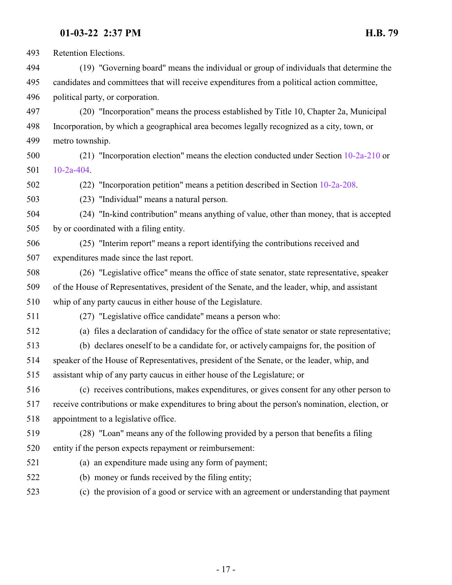Retention Elections.

 (19) "Governing board" means the individual or group of individuals that determine the candidates and committees that will receive expenditures from a political action committee, political party, or corporation.

 (20) "Incorporation" means the process established by Title 10, Chapter 2a, Municipal Incorporation, by which a geographical area becomes legally recognized as a city, town, or metro township.

 (21) "Incorporation election" means the election conducted under Section [10-2a-210](http://le.utah.gov/UtahCode/SectionLookup.jsp?section=10-2a-210&session=2022GS) or [10-2a-404](http://le.utah.gov/UtahCode/SectionLookup.jsp?section=10-2a-404&session=2022GS).

(22) "Incorporation petition" means a petition described in Section [10-2a-208](http://le.utah.gov/UtahCode/SectionLookup.jsp?section=10-2a-208&session=2022GS).

(23) "Individual" means a natural person.

 (24) "In-kind contribution" means anything of value, other than money, that is accepted by or coordinated with a filing entity.

 (25) "Interim report" means a report identifying the contributions received and expenditures made since the last report.

- (26) "Legislative office" means the office of state senator, state representative, speaker of the House of Representatives, president of the Senate, and the leader, whip, and assistant whip of any party caucus in either house of the Legislature.
- 

(27) "Legislative office candidate" means a person who:

(a) files a declaration of candidacy for the office of state senator or state representative;

 (b) declares oneself to be a candidate for, or actively campaigns for, the position of speaker of the House of Representatives, president of the Senate, or the leader, whip, and assistant whip of any party caucus in either house of the Legislature; or

 (c) receives contributions, makes expenditures, or gives consent for any other person to receive contributions or make expenditures to bring about the person's nomination, election, or appointment to a legislative office.

 (28) "Loan" means any of the following provided by a person that benefits a filing entity if the person expects repayment or reimbursement:

- 
- (a) an expenditure made using any form of payment;
- (b) money or funds received by the filing entity;
- (c) the provision of a good or service with an agreement or understanding that payment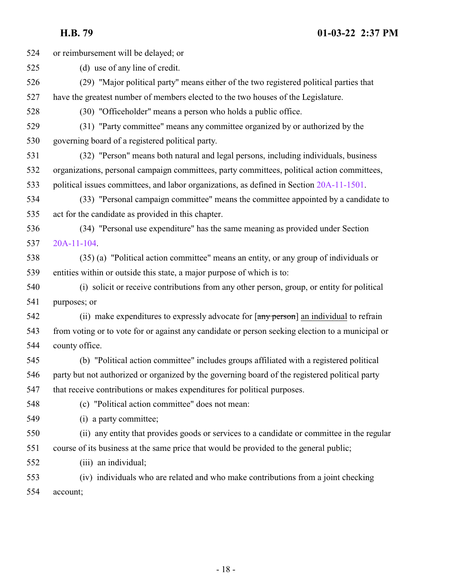or reimbursement will be delayed; or

- (d) use of any line of credit.
- (29) "Major political party" means either of the two registered political parties that have the greatest number of members elected to the two houses of the Legislature.
- (30) "Officeholder" means a person who holds a public office.
- (31) "Party committee" means any committee organized by or authorized by the governing board of a registered political party.
- (32) "Person" means both natural and legal persons, including individuals, business organizations, personal campaign committees, party committees, political action committees,
- political issues committees, and labor organizations, as defined in Section [20A-11-1501](http://le.utah.gov/UtahCode/SectionLookup.jsp?section=20a-11-1501&session=2022GS).
- (33) "Personal campaign committee" means the committee appointed by a candidate to act for the candidate as provided in this chapter.
- (34) "Personal use expenditure" has the same meaning as provided under Section [20A-11-104](http://le.utah.gov/UtahCode/SectionLookup.jsp?section=20a-11-104&session=2022GS).
- (35) (a) "Political action committee" means an entity, or any group of individuals or entities within or outside this state, a major purpose of which is to:
- (i) solicit or receive contributions from any other person, group, or entity for political purposes; or
- 542 (ii) make expenditures to expressly advocate for  $\left[\frac{\text{any person}}{\text{arny person}}\right]$  an individual to refrain from voting or to vote for or against any candidate or person seeking election to a municipal or county office.
- (b) "Political action committee" includes groups affiliated with a registered political party but not authorized or organized by the governing board of the registered political party that receive contributions or makes expenditures for political purposes.
- 
- (c) "Political action committee" does not mean:
- (i) a party committee;
- (ii) any entity that provides goods or services to a candidate or committee in the regular course of its business at the same price that would be provided to the general public;
- (iii) an individual;
- (iv) individuals who are related and who make contributions from a joint checking account;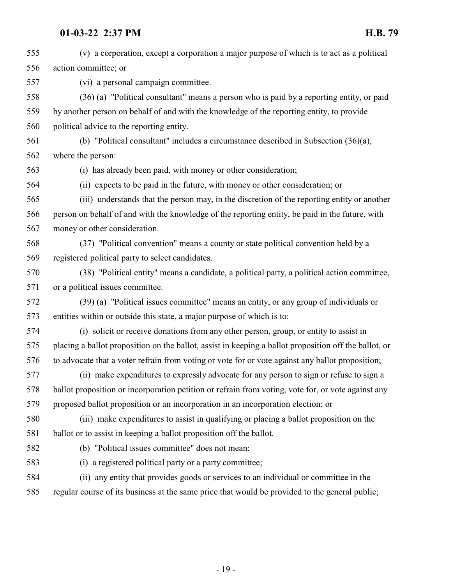(v) a corporation, except a corporation a major purpose of which is to act as a political action committee; or (vi) a personal campaign committee. (36) (a) "Political consultant" means a person who is paid by a reporting entity, or paid by another person on behalf of and with the knowledge of the reporting entity, to provide political advice to the reporting entity. (b) "Political consultant" includes a circumstance described in Subsection (36)(a), where the person: (i) has already been paid, with money or other consideration; (ii) expects to be paid in the future, with money or other consideration; or (iii) understands that the person may, in the discretion of the reporting entity or another person on behalf of and with the knowledge of the reporting entity, be paid in the future, with money or other consideration. (37) "Political convention" means a county or state political convention held by a registered political party to select candidates. (38) "Political entity" means a candidate, a political party, a political action committee, or a political issues committee. (39) (a) "Political issues committee" means an entity, or any group of individuals or entities within or outside this state, a major purpose of which is to: (i) solicit or receive donations from any other person, group, or entity to assist in placing a ballot proposition on the ballot, assist in keeping a ballot proposition off the ballot, or to advocate that a voter refrain from voting or vote for or vote against any ballot proposition; (ii) make expenditures to expressly advocate for any person to sign or refuse to sign a ballot proposition or incorporation petition or refrain from voting, vote for, or vote against any proposed ballot proposition or an incorporation in an incorporation election; or (iii) make expenditures to assist in qualifying or placing a ballot proposition on the ballot or to assist in keeping a ballot proposition off the ballot. (b) "Political issues committee" does not mean: (i) a registered political party or a party committee; (ii) any entity that provides goods or services to an individual or committee in the regular course of its business at the same price that would be provided to the general public;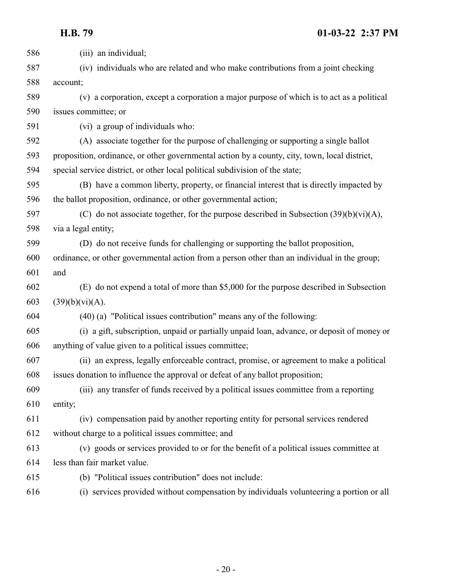| 586 | (iii) an individual;                                                                          |
|-----|-----------------------------------------------------------------------------------------------|
| 587 | (iv) individuals who are related and who make contributions from a joint checking             |
| 588 | account;                                                                                      |
| 589 | (v) a corporation, except a corporation a major purpose of which is to act as a political     |
| 590 | issues committee; or                                                                          |
| 591 | (vi) a group of individuals who:                                                              |
| 592 | (A) associate together for the purpose of challenging or supporting a single ballot           |
| 593 | proposition, ordinance, or other governmental action by a county, city, town, local district, |
| 594 | special service district, or other local political subdivision of the state;                  |
| 595 | (B) have a common liberty, property, or financial interest that is directly impacted by       |
| 596 | the ballot proposition, ordinance, or other governmental action;                              |
| 597 | (C) do not associate together, for the purpose described in Subsection $(39)(b)(vi)(A)$ ,     |
| 598 | via a legal entity;                                                                           |
| 599 | (D) do not receive funds for challenging or supporting the ballot proposition,                |
| 600 | ordinance, or other governmental action from a person other than an individual in the group;  |
| 601 | and                                                                                           |
| 602 | (E) do not expend a total of more than \$5,000 for the purpose described in Subsection        |
| 603 | (39)(b)(vi)(A).                                                                               |
| 604 | $(40)$ (a) "Political issues contribution" means any of the following:                        |
| 605 | (i) a gift, subscription, unpaid or partially unpaid loan, advance, or deposit of money or    |
| 606 | anything of value given to a political issues committee;                                      |
| 607 | (ii) an express, legally enforceable contract, promise, or agreement to make a political      |
| 608 | issues donation to influence the approval or defeat of any ballot proposition;                |
| 609 | (iii) any transfer of funds received by a political issues committee from a reporting         |
| 610 | entity;                                                                                       |
| 611 | (iv) compensation paid by another reporting entity for personal services rendered             |
| 612 | without charge to a political issues committee; and                                           |
| 613 | (v) goods or services provided to or for the benefit of a political issues committee at       |
| 614 | less than fair market value.                                                                  |
| 615 | (b) "Political issues contribution" does not include:                                         |
| 616 | (i) services provided without compensation by individuals volunteering a portion or all       |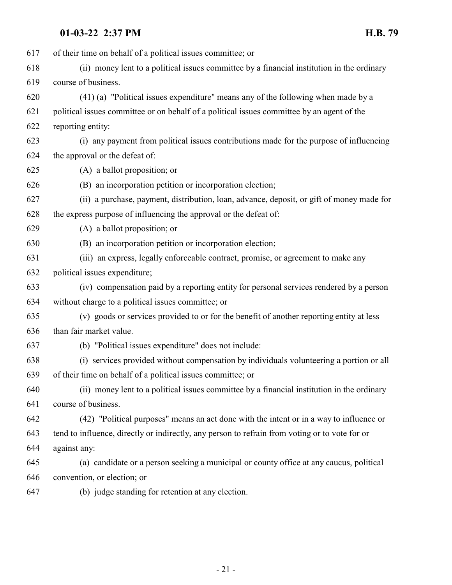| 617 | of their time on behalf of a political issues committee; or                                    |
|-----|------------------------------------------------------------------------------------------------|
| 618 | (ii) money lent to a political issues committee by a financial institution in the ordinary     |
| 619 | course of business.                                                                            |
| 620 | (41) (a) "Political issues expenditure" means any of the following when made by a              |
| 621 | political issues committee or on behalf of a political issues committee by an agent of the     |
| 622 | reporting entity:                                                                              |
| 623 | (i) any payment from political issues contributions made for the purpose of influencing        |
| 624 | the approval or the defeat of:                                                                 |
| 625 | (A) a ballot proposition; or                                                                   |
| 626 | (B) an incorporation petition or incorporation election;                                       |
| 627 | (ii) a purchase, payment, distribution, loan, advance, deposit, or gift of money made for      |
| 628 | the express purpose of influencing the approval or the defeat of:                              |
| 629 | (A) a ballot proposition; or                                                                   |
| 630 | (B) an incorporation petition or incorporation election;                                       |
| 631 | (iii) an express, legally enforceable contract, promise, or agreement to make any              |
| 632 | political issues expenditure;                                                                  |
| 633 | (iv) compensation paid by a reporting entity for personal services rendered by a person        |
| 634 | without charge to a political issues committee; or                                             |
| 635 | (v) goods or services provided to or for the benefit of another reporting entity at less       |
| 636 | than fair market value.                                                                        |
| 637 | (b) "Political issues expenditure" does not include:                                           |
| 638 | (i) services provided without compensation by individuals volunteering a portion or all        |
| 639 | of their time on behalf of a political issues committee; or                                    |
| 640 | (ii) money lent to a political issues committee by a financial institution in the ordinary     |
| 641 | course of business.                                                                            |
| 642 | (42) "Political purposes" means an act done with the intent or in a way to influence or        |
| 643 | tend to influence, directly or indirectly, any person to refrain from voting or to vote for or |
| 644 | against any:                                                                                   |
| 645 | (a) candidate or a person seeking a municipal or county office at any caucus, political        |
| 646 | convention, or election; or                                                                    |
| 647 | (b) judge standing for retention at any election.                                              |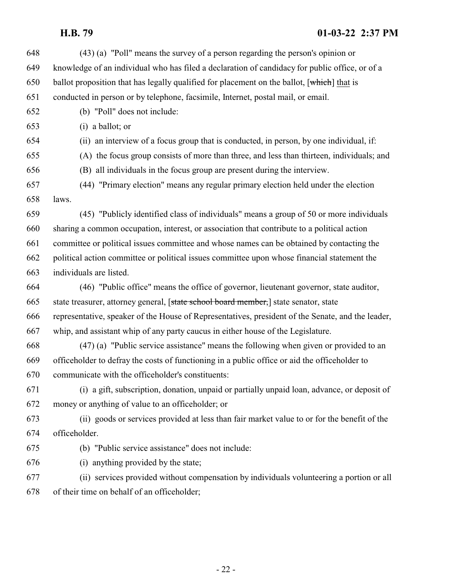(43) (a) "Poll" means the survey of a person regarding the person's opinion or knowledge of an individual who has filed a declaration of candidacy for public office, or of a 650 ballot proposition that has legally qualified for placement on the ballot,  $[\text{which}]$  that is conducted in person or by telephone, facsimile, Internet, postal mail, or email. (b) "Poll" does not include: (i) a ballot; or (ii) an interview of a focus group that is conducted, in person, by one individual, if: (A) the focus group consists of more than three, and less than thirteen, individuals; and (B) all individuals in the focus group are present during the interview. (44) "Primary election" means any regular primary election held under the election laws. (45) "Publicly identified class of individuals" means a group of 50 or more individuals sharing a common occupation, interest, or association that contribute to a political action committee or political issues committee and whose names can be obtained by contacting the political action committee or political issues committee upon whose financial statement the individuals are listed. (46) "Public office" means the office of governor, lieutenant governor, state auditor, state treasurer, attorney general, [state school board member,] state senator, state representative, speaker of the House of Representatives, president of the Senate, and the leader, whip, and assistant whip of any party caucus in either house of the Legislature. (47) (a) "Public service assistance" means the following when given or provided to an officeholder to defray the costs of functioning in a public office or aid the officeholder to communicate with the officeholder's constituents: (i) a gift, subscription, donation, unpaid or partially unpaid loan, advance, or deposit of money or anything of value to an officeholder; or (ii) goods or services provided at less than fair market value to or for the benefit of the officeholder. (b) "Public service assistance" does not include: (i) anything provided by the state; (ii) services provided without compensation by individuals volunteering a portion or all of their time on behalf of an officeholder;

- 22 -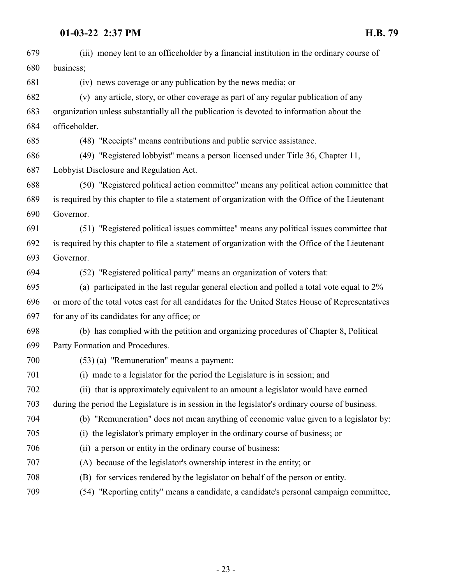| 679 | (iii) money lent to an officeholder by a financial institution in the ordinary course of          |
|-----|---------------------------------------------------------------------------------------------------|
| 680 | business;                                                                                         |
| 681 | (iv) news coverage or any publication by the news media; or                                       |
| 682 | (v) any article, story, or other coverage as part of any regular publication of any               |
| 683 | organization unless substantially all the publication is devoted to information about the         |
| 684 | officeholder.                                                                                     |
| 685 | (48) "Receipts" means contributions and public service assistance.                                |
| 686 | (49) "Registered lobbyist" means a person licensed under Title 36, Chapter 11,                    |
| 687 | Lobbyist Disclosure and Regulation Act.                                                           |
| 688 | (50) "Registered political action committee" means any political action committee that            |
| 689 | is required by this chapter to file a statement of organization with the Office of the Lieutenant |
| 690 | Governor.                                                                                         |
| 691 | (51) "Registered political issues committee" means any political issues committee that            |
| 692 | is required by this chapter to file a statement of organization with the Office of the Lieutenant |
| 693 | Governor.                                                                                         |
| 694 | (52) "Registered political party" means an organization of voters that:                           |
| 695 | (a) participated in the last regular general election and polled a total vote equal to $2\%$      |
| 696 | or more of the total votes cast for all candidates for the United States House of Representatives |
| 697 | for any of its candidates for any office; or                                                      |
| 698 | (b) has complied with the petition and organizing procedures of Chapter 8, Political              |
| 699 | Party Formation and Procedures.                                                                   |
| 700 | $(53)$ (a) "Remuneration" means a payment:                                                        |
| 701 | (i) made to a legislator for the period the Legislature is in session; and                        |
| 702 | (ii) that is approximately equivalent to an amount a legislator would have earned                 |
| 703 | during the period the Legislature is in session in the legislator's ordinary course of business.  |
| 704 | (b) "Remuneration" does not mean anything of economic value given to a legislator by:             |
| 705 | (i) the legislator's primary employer in the ordinary course of business; or                      |
| 706 | (ii) a person or entity in the ordinary course of business:                                       |
| 707 | (A) because of the legislator's ownership interest in the entity; or                              |
| 708 | (B) for services rendered by the legislator on behalf of the person or entity.                    |
| 709 | (54) "Reporting entity" means a candidate, a candidate's personal campaign committee,             |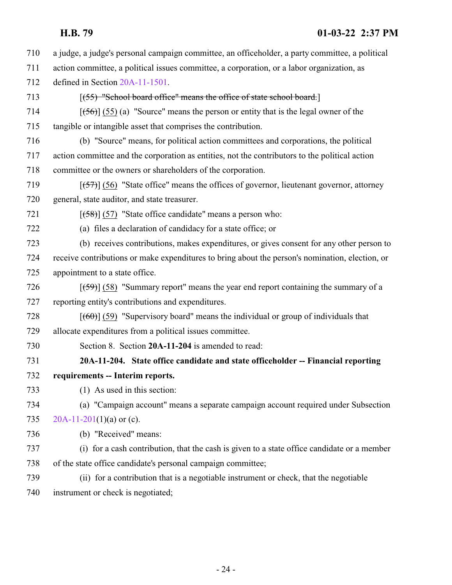a judge, a judge's personal campaign committee, an officeholder, a party committee, a political action committee, a political issues committee, a corporation, or a labor organization, as defined in Section [20A-11-1501](http://le.utah.gov/UtahCode/SectionLookup.jsp?section=20a-11-1501&session=2022GS).

- 713 [(55) "School board office" means the office of state school board.]
- 714  $[(56)] (55) (a)$  "Source" means the person or entity that is the legal owner of the tangible or intangible asset that comprises the contribution.
- (b) "Source" means, for political action committees and corporations, the political action committee and the corporation as entities, not the contributors to the political action committee or the owners or shareholders of the corporation.
- 719  $[(57)]$  (56) "State office" means the offices of governor, lieutenant governor, attorney general, state auditor, and state treasurer.
- 721  $[(58)] (57)$  "State office candidate" means a person who:
- (a) files a declaration of candidacy for a state office; or
- (b) receives contributions, makes expenditures, or gives consent for any other person to receive contributions or make expenditures to bring about the person's nomination, election, or appointment to a state office.
- 726  $\left[\frac{(-59)}{58}\right]$  (58) "Summary report" means the year end report containing the summary of a reporting entity's contributions and expenditures.
- 728  $[(60)(59)$  "Supervisory board" means the individual or group of individuals that allocate expenditures from a political issues committee.
- <span id="page-23-0"></span>Section 8. Section **20A-11-204** is amended to read:
- **20A-11-204. State office candidate and state officeholder -- Financial reporting requirements -- Interim reports.**
- (1) As used in this section:
- (a) "Campaign account" means a separate campaign account required under Subsection [20A-11-201](http://le.utah.gov/UtahCode/SectionLookup.jsp?section=20a-11-201&session=2022GS)(1)(a) or (c).
- (b) "Received" means:
- (i) for a cash contribution, that the cash is given to a state office candidate or a member of the state office candidate's personal campaign committee;
- (ii) for a contribution that is a negotiable instrument or check, that the negotiable instrument or check is negotiated;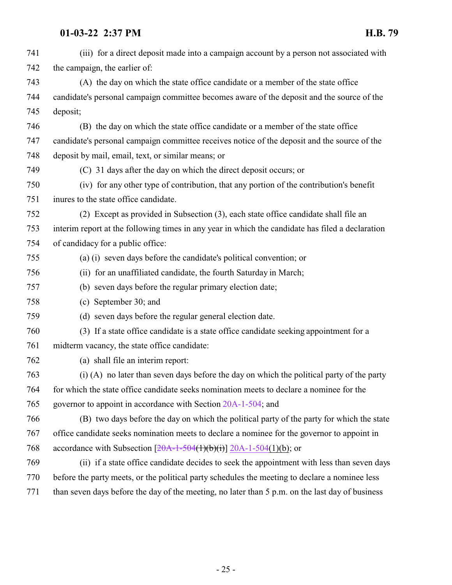| 741 | (iii) for a direct deposit made into a campaign account by a person not associated with          |
|-----|--------------------------------------------------------------------------------------------------|
| 742 | the campaign, the earlier of:                                                                    |
| 743 | (A) the day on which the state office candidate or a member of the state office                  |
| 744 | candidate's personal campaign committee becomes aware of the deposit and the source of the       |
| 745 | deposit;                                                                                         |
| 746 | (B) the day on which the state office candidate or a member of the state office                  |
| 747 | candidate's personal campaign committee receives notice of the deposit and the source of the     |
| 748 | deposit by mail, email, text, or similar means; or                                               |
| 749 | (C) 31 days after the day on which the direct deposit occurs; or                                 |
| 750 | (iv) for any other type of contribution, that any portion of the contribution's benefit          |
| 751 | inures to the state office candidate.                                                            |
| 752 | (2) Except as provided in Subsection (3), each state office candidate shall file an              |
| 753 | interim report at the following times in any year in which the candidate has filed a declaration |
| 754 | of candidacy for a public office:                                                                |
| 755 | (a) (i) seven days before the candidate's political convention; or                               |
| 756 | (ii) for an unaffiliated candidate, the fourth Saturday in March;                                |
| 757 | (b) seven days before the regular primary election date;                                         |
| 758 | (c) September 30; and                                                                            |
| 759 | (d) seven days before the regular general election date.                                         |
| 760 | (3) If a state office candidate is a state office candidate seeking appointment for a            |
| 761 | midterm vacancy, the state office candidate:                                                     |
| 762 | (a) shall file an interim report:                                                                |
| 763 | (i) (A) no later than seven days before the day on which the political party of the party        |
| 764 | for which the state office candidate seeks nomination meets to declare a nominee for the         |
| 765 | governor to appoint in accordance with Section 20A-1-504; and                                    |
| 766 | (B) two days before the day on which the political party of the party for which the state        |
| 767 | office candidate seeks nomination meets to declare a nominee for the governor to appoint in      |
| 768 | accordance with Subsection $[20A-1-504(1)(b)(i)]$ 20A-1-504(1)(b); or                            |
| 769 | (ii) if a state office candidate decides to seek the appointment with less than seven days       |
| 770 | before the party meets, or the political party schedules the meeting to declare a nominee less   |
| 771 | than seven days before the day of the meeting, no later than 5 p.m. on the last day of business  |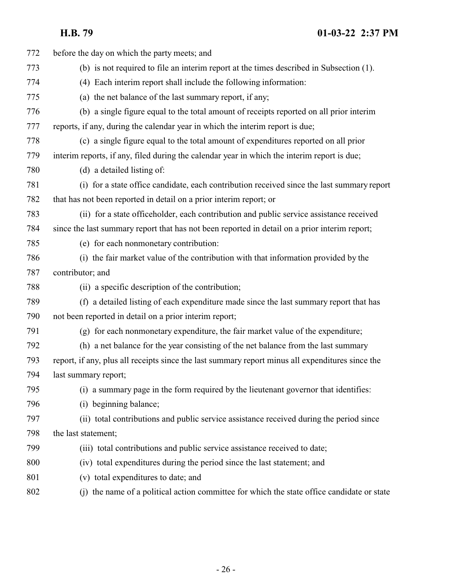| 772 | before the day on which the party meets; and                                                     |
|-----|--------------------------------------------------------------------------------------------------|
| 773 | (b) is not required to file an interim report at the times described in Subsection (1).          |
| 774 | (4) Each interim report shall include the following information:                                 |
| 775 | (a) the net balance of the last summary report, if any;                                          |
| 776 | (b) a single figure equal to the total amount of receipts reported on all prior interim          |
| 777 | reports, if any, during the calendar year in which the interim report is due;                    |
| 778 | (c) a single figure equal to the total amount of expenditures reported on all prior              |
| 779 | interim reports, if any, filed during the calendar year in which the interim report is due;      |
| 780 | (d) a detailed listing of:                                                                       |
| 781 | (i) for a state office candidate, each contribution received since the last summary report       |
| 782 | that has not been reported in detail on a prior interim report; or                               |
| 783 | (ii) for a state officeholder, each contribution and public service assistance received          |
| 784 | since the last summary report that has not been reported in detail on a prior interim report;    |
| 785 | (e) for each nonmonetary contribution:                                                           |
| 786 | (i) the fair market value of the contribution with that information provided by the              |
| 787 | contributor; and                                                                                 |
| 788 | (ii) a specific description of the contribution;                                                 |
| 789 | (f) a detailed listing of each expenditure made since the last summary report that has           |
| 790 | not been reported in detail on a prior interim report;                                           |
| 791 | (g) for each nonmonetary expenditure, the fair market value of the expenditure;                  |
| 792 | (h) a net balance for the year consisting of the net balance from the last summary               |
| 793 | report, if any, plus all receipts since the last summary report minus all expenditures since the |
| 794 | last summary report;                                                                             |
| 795 | (i) a summary page in the form required by the lieutenant governor that identifies:              |
| 796 | (i) beginning balance;                                                                           |
| 797 | (ii) total contributions and public service assistance received during the period since          |
| 798 | the last statement;                                                                              |
| 799 | (iii) total contributions and public service assistance received to date;                        |
| 800 | (iv) total expenditures during the period since the last statement; and                          |
| 801 | (v) total expenditures to date; and                                                              |
| 802 | (j) the name of a political action committee for which the state office candidate or state       |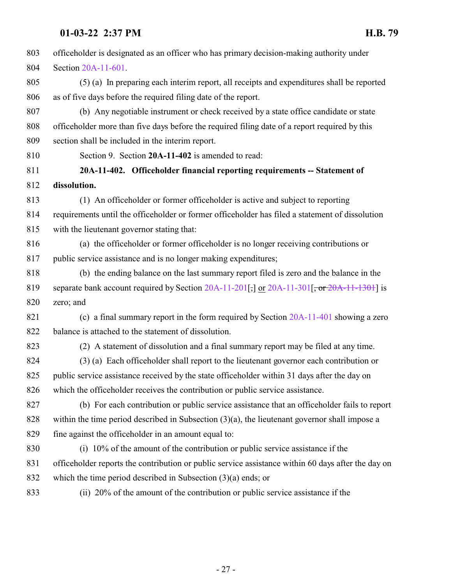<span id="page-26-0"></span>

| 803 | officeholder is designated as an officer who has primary decision-making authority under           |
|-----|----------------------------------------------------------------------------------------------------|
| 804 | Section 20A-11-601.                                                                                |
| 805 | (5) (a) In preparing each interim report, all receipts and expenditures shall be reported          |
| 806 | as of five days before the required filing date of the report.                                     |
| 807 | (b) Any negotiable instrument or check received by a state office candidate or state               |
| 808 | officeholder more than five days before the required filing date of a report required by this      |
| 809 | section shall be included in the interim report.                                                   |
| 810 | Section 9. Section 20A-11-402 is amended to read:                                                  |
| 811 | 20A-11-402. Officeholder financial reporting requirements -- Statement of                          |
| 812 | dissolution.                                                                                       |
| 813 | (1) An officeholder or former officeholder is active and subject to reporting                      |
| 814 | requirements until the officeholder or former officeholder has filed a statement of dissolution    |
| 815 | with the lieutenant governor stating that:                                                         |
| 816 | (a) the officeholder or former officeholder is no longer receiving contributions or                |
| 817 | public service assistance and is no longer making expenditures;                                    |
| 818 | (b) the ending balance on the last summary report filed is zero and the balance in the             |
| 819 | separate bank account required by Section 20A-11-201[;] or 20A-11-301[, or 20A-11-1301] is         |
| 820 | zero; and                                                                                          |
| 821 | (c) a final summary report in the form required by Section $20A-11-401$ showing a zero             |
| 822 | balance is attached to the statement of dissolution.                                               |
| 823 | (2) A statement of dissolution and a final summary report may be filed at any time.                |
| 824 | (3) (a) Each officeholder shall report to the lieutenant governor each contribution or             |
| 825 | public service assistance received by the state officeholder within 31 days after the day on       |
| 826 | which the officeholder receives the contribution or public service assistance.                     |
| 827 | (b) For each contribution or public service assistance that an officeholder fails to report        |
| 828 | within the time period described in Subsection $(3)(a)$ , the lieutenant governor shall impose a   |
| 829 | fine against the officeholder in an amount equal to:                                               |
| 830 | (i) 10% of the amount of the contribution or public service assistance if the                      |
| 831 | officeholder reports the contribution or public service assistance within 60 days after the day on |
| 832 | which the time period described in Subsection $(3)(a)$ ends; or                                    |
| 833 | (ii) 20% of the amount of the contribution or public service assistance if the                     |
|     |                                                                                                    |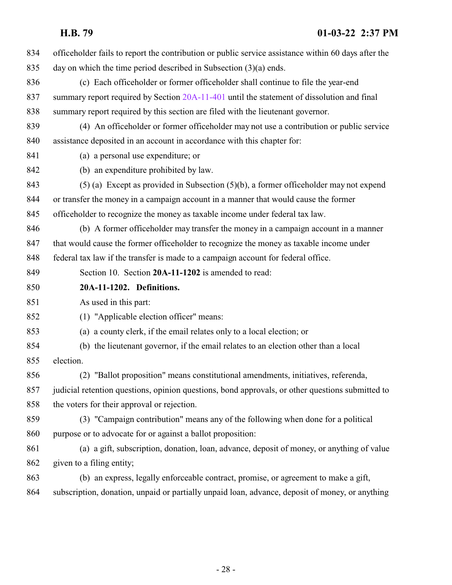<span id="page-27-0"></span>

| 834 | officeholder fails to report the contribution or public service assistance within 60 days after the |
|-----|-----------------------------------------------------------------------------------------------------|
| 835 | day on which the time period described in Subsection $(3)(a)$ ends.                                 |
| 836 | (c) Each officeholder or former officeholder shall continue to file the year-end                    |
| 837 | summary report required by Section 20A-11-401 until the statement of dissolution and final          |
| 838 | summary report required by this section are filed with the lieutenant governor.                     |
| 839 | (4) An officeholder or former officeholder may not use a contribution or public service             |
| 840 | assistance deposited in an account in accordance with this chapter for:                             |
| 841 | (a) a personal use expenditure; or                                                                  |
| 842 | (b) an expenditure prohibited by law.                                                               |
| 843 | $(5)$ (a) Except as provided in Subsection $(5)(b)$ , a former officeholder may not expend          |
| 844 | or transfer the money in a campaign account in a manner that would cause the former                 |
| 845 | officeholder to recognize the money as taxable income under federal tax law.                        |
| 846 | (b) A former officeholder may transfer the money in a campaign account in a manner                  |
| 847 | that would cause the former officeholder to recognize the money as taxable income under             |
| 848 | federal tax law if the transfer is made to a campaign account for federal office.                   |
| 849 | Section 10. Section 20A-11-1202 is amended to read:                                                 |
| 850 | 20A-11-1202. Definitions.                                                                           |
| 851 | As used in this part:                                                                               |
| 852 | (1) "Applicable election officer" means:                                                            |
| 853 | (a) a county clerk, if the email relates only to a local election; or                               |
| 854 | (b) the lieutenant governor, if the email relates to an election other than a local                 |
| 855 | election.                                                                                           |
| 856 | (2) "Ballot proposition" means constitutional amendments, initiatives, referenda,                   |
| 857 | judicial retention questions, opinion questions, bond approvals, or other questions submitted to    |
| 858 | the voters for their approval or rejection.                                                         |
| 859 | (3) "Campaign contribution" means any of the following when done for a political                    |
| 860 | purpose or to advocate for or against a ballot proposition:                                         |
| 861 | (a) a gift, subscription, donation, loan, advance, deposit of money, or anything of value           |
| 862 | given to a filing entity;                                                                           |
| 863 | (b) an express, legally enforceable contract, promise, or agreement to make a gift,                 |
| 864 | subscription, donation, unpaid or partially unpaid loan, advance, deposit of money, or anything     |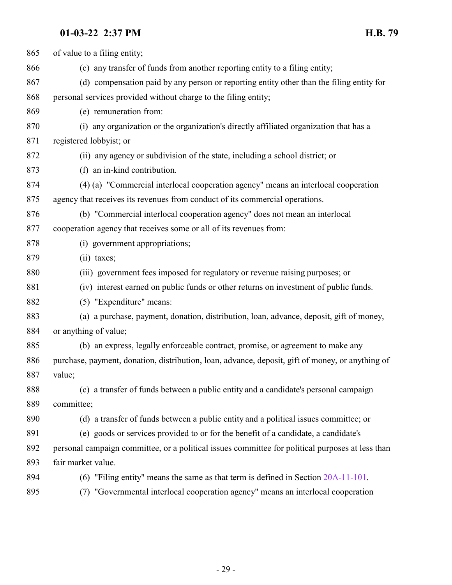| 865 | of value to a filing entity;                                                                     |
|-----|--------------------------------------------------------------------------------------------------|
| 866 | (c) any transfer of funds from another reporting entity to a filing entity;                      |
| 867 | (d) compensation paid by any person or reporting entity other than the filing entity for         |
| 868 | personal services provided without charge to the filing entity;                                  |
| 869 | (e) remuneration from:                                                                           |
| 870 | (i) any organization or the organization's directly affiliated organization that has a           |
| 871 | registered lobbyist; or                                                                          |
| 872 | (ii) any agency or subdivision of the state, including a school district; or                     |
| 873 | (f) an in-kind contribution.                                                                     |
| 874 | (4) (a) "Commercial interlocal cooperation agency" means an interlocal cooperation               |
| 875 | agency that receives its revenues from conduct of its commercial operations.                     |
| 876 | (b) "Commercial interlocal cooperation agency" does not mean an interlocal                       |
| 877 | cooperation agency that receives some or all of its revenues from:                               |
| 878 | (i) government appropriations;                                                                   |
| 879 | $(ii)$ taxes;                                                                                    |
| 880 | (iii) government fees imposed for regulatory or revenue raising purposes; or                     |
| 881 | (iv) interest earned on public funds or other returns on investment of public funds.             |
| 882 | (5) "Expenditure" means:                                                                         |
| 883 | (a) a purchase, payment, donation, distribution, loan, advance, deposit, gift of money,          |
| 884 | or anything of value;                                                                            |
| 885 | (b) an express, legally enforceable contract, promise, or agreement to make any                  |
| 886 | purchase, payment, donation, distribution, loan, advance, deposit, gift of money, or anything of |
| 887 | value;                                                                                           |
| 888 | (c) a transfer of funds between a public entity and a candidate's personal campaign              |
| 889 | committee;                                                                                       |
| 890 | (d) a transfer of funds between a public entity and a political issues committee; or             |
| 891 | (e) goods or services provided to or for the benefit of a candidate, a candidate's               |
| 892 | personal campaign committee, or a political issues committee for political purposes at less than |
| 893 | fair market value.                                                                               |
| 894 | (6) "Filing entity" means the same as that term is defined in Section $20A-11-101$ .             |
| 895 | (7) "Governmental interlocal cooperation agency" means an interlocal cooperation                 |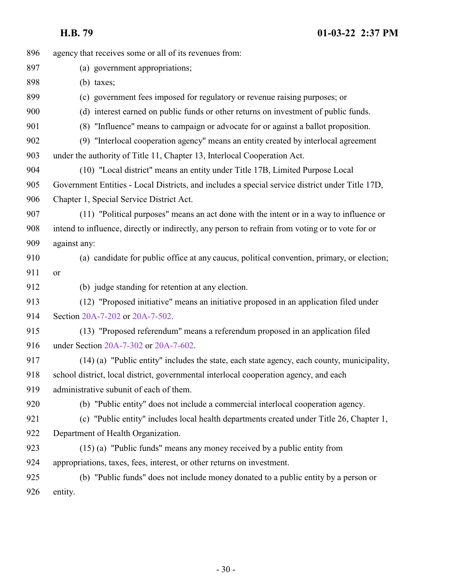| 896 | agency that receives some or all of its revenues from:                                           |
|-----|--------------------------------------------------------------------------------------------------|
| 897 | (a) government appropriations;                                                                   |
| 898 | $(b)$ taxes;                                                                                     |
| 899 | (c) government fees imposed for regulatory or revenue raising purposes; or                       |
| 900 | (d) interest earned on public funds or other returns on investment of public funds.              |
| 901 | (8) "Influence" means to campaign or advocate for or against a ballot proposition.               |
| 902 | (9) "Interlocal cooperation agency" means an entity created by interlocal agreement              |
| 903 | under the authority of Title 11, Chapter 13, Interlocal Cooperation Act.                         |
| 904 | (10) "Local district" means an entity under Title 17B, Limited Purpose Local                     |
| 905 | Government Entities - Local Districts, and includes a special service district under Title 17D,  |
| 906 | Chapter 1, Special Service District Act.                                                         |
| 907 | (11) "Political purposes" means an act done with the intent or in a way to influence or          |
| 908 | intend to influence, directly or indirectly, any person to refrain from voting or to vote for or |
| 909 | against any:                                                                                     |
| 910 | (a) candidate for public office at any caucus, political convention, primary, or election;       |
| 911 | or                                                                                               |
| 912 | (b) judge standing for retention at any election.                                                |
| 913 | (12) "Proposed initiative" means an initiative proposed in an application filed under            |
| 914 | Section 20A-7-202 or 20A-7-502.                                                                  |
| 915 | (13) "Proposed referendum" means a referendum proposed in an application filed                   |
| 916 | under Section 20A-7-302 or 20A-7-602.                                                            |
| 917 | (14) (a) "Public entity" includes the state, each state agency, each county, municipality,       |
| 918 | school district, local district, governmental interlocal cooperation agency, and each            |
| 919 | administrative subunit of each of them.                                                          |
| 920 | (b) "Public entity" does not include a commercial interlocal cooperation agency.                 |
| 921 | (c) "Public entity" includes local health departments created under Title 26, Chapter 1,         |
| 922 | Department of Health Organization.                                                               |
| 923 | (15) (a) "Public funds" means any money received by a public entity from                         |
| 924 | appropriations, taxes, fees, interest, or other returns on investment.                           |
| 925 | (b) "Public funds" does not include money donated to a public entity by a person or              |
| 926 | entity.                                                                                          |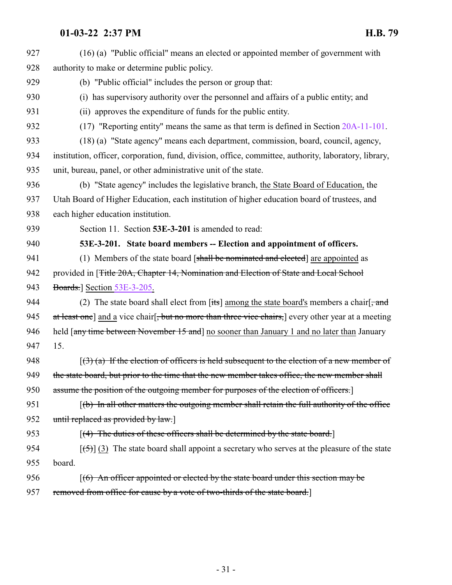<span id="page-30-0"></span>

| 927 | (16) (a) "Public official" means an elected or appointed member of government with                          |
|-----|-------------------------------------------------------------------------------------------------------------|
| 928 | authority to make or determine public policy.                                                               |
| 929 | (b) "Public official" includes the person or group that:                                                    |
| 930 | (i) has supervisory authority over the personnel and affairs of a public entity; and                        |
| 931 | (ii) approves the expenditure of funds for the public entity.                                               |
| 932 | $(17)$ "Reporting entity" means the same as that term is defined in Section $20A-11-101$ .                  |
| 933 | (18) (a) "State agency" means each department, commission, board, council, agency,                          |
| 934 | institution, officer, corporation, fund, division, office, committee, authority, laboratory, library,       |
| 935 | unit, bureau, panel, or other administrative unit of the state.                                             |
| 936 | (b) "State agency" includes the legislative branch, the State Board of Education, the                       |
| 937 | Utah Board of Higher Education, each institution of higher education board of trustees, and                 |
| 938 | each higher education institution.                                                                          |
| 939 | Section 11. Section 53E-3-201 is amended to read:                                                           |
| 940 | 53E-3-201. State board members -- Election and appointment of officers.                                     |
| 941 | (1) Members of the state board [shall be nominated and elected] are appointed as                            |
| 942 | provided in [ <del>Title 20A, Chapter 14, Nomination and Election of State and Local School</del>           |
| 943 | <b>Boards.</b> ] Section 53E-3-205.                                                                         |
| 944 | (2) The state board shall elect from $[\text{its}]$ among the state board's members a chair $[\text{and}]$  |
| 945 | at least one] and a vice chair <del>but no more than three vice chairs,</del> every other year at a meeting |
| 946 | held [any time between November 15 and] no sooner than January 1 and no later than January                  |
| 947 | 15.                                                                                                         |
| 948 | $(3)$ (a) If the election of officers is held subsequent to the election of a new member of                 |
| 949 | the state board, but prior to the time that the new member takes office, the new member shall               |
| 950 | assume the position of the outgoing member for purposes of the election of officers.]                       |
| 951 | $(f(b)$ In all other matters the outgoing member shall retain the full authority of the office              |
| 952 | until replaced as provided by law.]                                                                         |
| 953 | $[(4)$ The duties of these officers shall be determined by the state board.                                 |
| 954 | $[\frac{1}{5}]$ (3) The state board shall appoint a secretary who serves at the pleasure of the state       |
| 955 | board.                                                                                                      |
| 956 | $(6)$ An officer appointed or elected by the state board under this section may be                          |
| 957 | removed from office for cause by a vote of two-thirds of the state board.]                                  |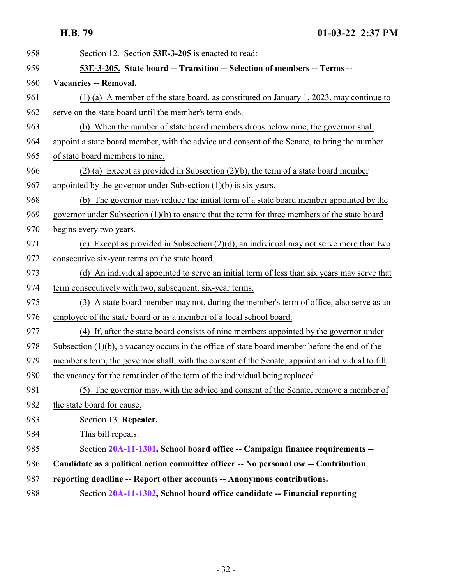<span id="page-31-0"></span>

| 958 | Section 12. Section 53E-3-205 is enacted to read:                                                |
|-----|--------------------------------------------------------------------------------------------------|
| 959 | 53E-3-205. State board -- Transition -- Selection of members -- Terms --                         |
| 960 | <b>Vacancies -- Removal.</b>                                                                     |
| 961 | $(1)$ (a) A member of the state board, as constituted on January 1, 2023, may continue to        |
| 962 | serve on the state board until the member's term ends.                                           |
| 963 | (b) When the number of state board members drops below nine, the governor shall                  |
| 964 | appoint a state board member, with the advice and consent of the Senate, to bring the number     |
| 965 | of state board members to nine.                                                                  |
| 966 | $(2)$ (a) Except as provided in Subsection $(2)(b)$ , the term of a state board member           |
| 967 | appointed by the governor under Subsection $(1)(b)$ is six years.                                |
| 968 | (b) The governor may reduce the initial term of a state board member appointed by the            |
| 969 | governor under Subsection $(1)(b)$ to ensure that the term for three members of the state board  |
| 970 | begins every two years.                                                                          |
| 971 | (c) Except as provided in Subsection $(2)(d)$ , an individual may not serve more than two        |
| 972 | consecutive six-year terms on the state board.                                                   |
| 973 | (d) An individual appointed to serve an initial term of less than six years may serve that       |
| 974 | term consecutively with two, subsequent, six-year terms.                                         |
| 975 | (3) A state board member may not, during the member's term of office, also serve as an           |
| 976 | employee of the state board or as a member of a local school board.                              |
| 977 | (4) If, after the state board consists of nine members appointed by the governor under           |
| 978 | Subsection $(1)(b)$ , a vacancy occurs in the office of state board member before the end of the |
| 979 | member's term, the governor shall, with the consent of the Senate, appoint an individual to fill |
| 980 | the vacancy for the remainder of the term of the individual being replaced.                      |
| 981 | (5) The governor may, with the advice and consent of the Senate, remove a member of              |
| 982 | the state board for cause.                                                                       |
| 983 | Section 13. Repealer.                                                                            |
| 984 | This bill repeals:                                                                               |
| 985 | Section 20A-11-1301, School board office -- Campaign finance requirements --                     |
| 986 | Candidate as a political action committee officer -- No personal use -- Contribution             |
| 987 | reporting deadline -- Report other accounts -- Anonymous contributions.                          |
| 988 | Section 20A-11-1302, School board office candidate -- Financial reporting                        |